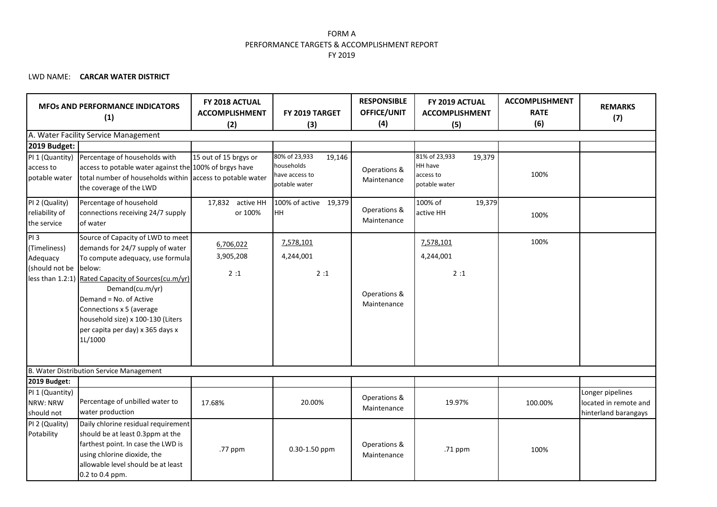## FORM A PERFORMANCE TARGETS & ACCOMPLISHMENT REPORT FY 2019

## LWD NAME: **CARCAR WATER DISTRICT**

|                                                   | <b>MFOS AND PERFORMANCE INDICATORS</b><br>(1)                                                                                                                                                                                                                                                                                           | FY 2018 ACTUAL<br><b>ACCOMPLISHMENT</b><br>(2) | FY 2019 TARGET<br>(3)                                                    | <b>RESPONSIBLE</b><br>OFFICE/UNIT<br>(4) | FY 2019 ACTUAL<br><b>ACCOMPLISHMENT</b><br>(5)                   | <b>ACCOMPLISHMENT</b><br><b>RATE</b><br>(6) | <b>REMARKS</b><br>(7)                                             |
|---------------------------------------------------|-----------------------------------------------------------------------------------------------------------------------------------------------------------------------------------------------------------------------------------------------------------------------------------------------------------------------------------------|------------------------------------------------|--------------------------------------------------------------------------|------------------------------------------|------------------------------------------------------------------|---------------------------------------------|-------------------------------------------------------------------|
|                                                   | A. Water Facility Service Management                                                                                                                                                                                                                                                                                                    |                                                |                                                                          |                                          |                                                                  |                                             |                                                                   |
| 2019 Budget:                                      |                                                                                                                                                                                                                                                                                                                                         |                                                |                                                                          |                                          |                                                                  |                                             |                                                                   |
| PI 1 (Quantity)<br>access to<br>potable water     | Percentage of households with<br>access to potable water against the 100% of brgys have<br>total number of households within access to potable water<br>the coverage of the LWD                                                                                                                                                         | 15 out of 15 brgys or                          | 80% of 23,933<br>19,146<br>households<br>have access to<br>potable water | Operations &<br>Maintenance              | 81% of 23,933<br>19,379<br>HH have<br>access to<br>potable water | 100%                                        |                                                                   |
| PI 2 (Quality)<br>reliability of<br>the service   | Percentage of household<br>connections receiving 24/7 supply<br>of water                                                                                                                                                                                                                                                                | 17,832 active HH<br>or 100%                    | 100% of active 19,379<br>lнн                                             | Operations &<br>Maintenance              | 100% of<br>19,379<br>active HH                                   | 100%                                        |                                                                   |
| PI3<br>(Timeliness)<br>Adequacy<br>(should not be | Source of Capacity of LWD to meet<br>demands for 24/7 supply of water<br>To compute adequacy, use formula<br>below:<br>less than 1.2:1) Rated Capacity of Sources(cu.m/yr)<br>Demand(cu.m/yr)<br>Demand = No. of Active<br>Connections x 5 (average<br>household size) x 100-130 (Liters<br>per capita per day) x 365 days x<br>1L/1000 | 6,706,022<br>3,905,208<br>2:1                  | 7,578,101<br>4,244,001<br>2:1                                            | Operations &<br>Maintenance              | 7,578,101<br>4,244,001<br>2:1                                    | 100%                                        |                                                                   |
|                                                   | B. Water Distribution Service Management                                                                                                                                                                                                                                                                                                |                                                |                                                                          |                                          |                                                                  |                                             |                                                                   |
| 2019 Budget:                                      |                                                                                                                                                                                                                                                                                                                                         |                                                |                                                                          |                                          |                                                                  |                                             |                                                                   |
| PI 1 (Quantity)<br>NRW: NRW<br>should not         | Percentage of unbilled water to<br>water production                                                                                                                                                                                                                                                                                     | 17.68%                                         | 20.00%                                                                   | Operations &<br>Maintenance              | 19.97%                                                           | 100.00%                                     | Longer pipelines<br>located in remote and<br>hinterland barangays |
| PI 2 (Quality)<br>Potability                      | Daily chlorine residual requirement<br>should be at least 0.3ppm at the<br>farthest point. In case the LWD is<br>using chlorine dioxide, the<br>allowable level should be at least<br>0.2 to 0.4 ppm.                                                                                                                                   | .77 ppm                                        | 0.30-1.50 ppm                                                            | Operations &<br>Maintenance              | .71 ppm                                                          | 100%                                        |                                                                   |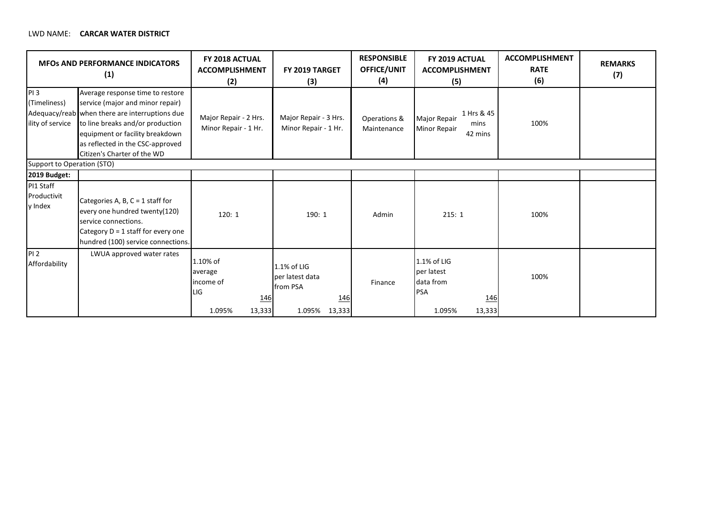|                                         | <b>MFOS AND PERFORMANCE INDICATORS</b><br>(1)                                                                                                                                                                                                                    | FY 2018 ACTUAL<br><b>ACCOMPLISHMENT</b><br>(2)                     | FY 2019 TARGET<br>(3)                                              | <b>RESPONSIBLE</b><br><b>OFFICE/UNIT</b><br>(4) | FY 2019 ACTUAL<br><b>ACCOMPLISHMENT</b><br>(5)                                  | <b>ACCOMPLISHMENT</b><br><b>RATE</b><br>(6) | <b>REMARKS</b><br>(7) |
|-----------------------------------------|------------------------------------------------------------------------------------------------------------------------------------------------------------------------------------------------------------------------------------------------------------------|--------------------------------------------------------------------|--------------------------------------------------------------------|-------------------------------------------------|---------------------------------------------------------------------------------|---------------------------------------------|-----------------------|
| PI3<br>(Timeliness)<br>ility of service | Average response time to restore<br>service (major and minor repair)<br>Adequacy/reab when there are interruptions due<br>to line breaks and/or production<br>equipment or facility breakdown<br>as reflected in the CSC-approved<br>Citizen's Charter of the WD | Major Repair - 2 Hrs.<br>Minor Repair - 1 Hr.                      | Major Repair - 3 Hrs.<br>Minor Repair - 1 Hr.                      | Operations &<br>Maintenance                     | 1 Hrs & 45<br>Major Repair<br>mins<br>Minor Repair<br>42 mins                   | 100%                                        |                       |
| Support to Operation (STO)              |                                                                                                                                                                                                                                                                  |                                                                    |                                                                    |                                                 |                                                                                 |                                             |                       |
| 2019 Budget:                            |                                                                                                                                                                                                                                                                  |                                                                    |                                                                    |                                                 |                                                                                 |                                             |                       |
| PI1 Staff<br>Productivit<br>y Index     | Categories A, B, $C = 1$ staff for<br>every one hundred twenty(120)<br>service connections.<br>Category $D = 1$ staff for every one<br>hundred (100) service connections.                                                                                        | 120:1                                                              | 190: 1                                                             | Admin                                           | 215:1                                                                           | 100%                                        |                       |
| <b>PI2</b><br>Affordability             | LWUA approved water rates                                                                                                                                                                                                                                        | 1.10% of<br>average<br>income of<br>LIG<br>146<br>13,333<br>1.095% | 1.1% of LIG<br>per latest data<br>from PSA<br>146<br>1.095% 13,333 | Finance                                         | 1.1% of LIG<br>per latest<br>data from<br><b>PSA</b><br>146<br>1.095%<br>13,333 | 100%                                        |                       |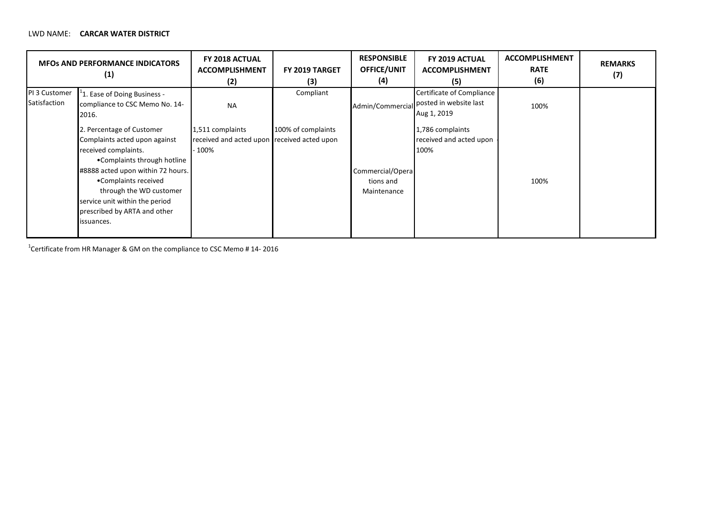## LWD NAME: **CARCAR WATER DISTRICT**

| <b>MFOS AND PERFORMANCE INDICATORS</b><br>(1) |                                                                                                                                                                                                                                                                                           | FY 2018 ACTUAL<br><b>ACCOMPLISHMENT</b><br>(2)                          | FY 2019 TARGET<br>(3) | <b>RESPONSIBLE</b><br><b>OFFICE/UNIT</b><br>(4) | FY 2019 ACTUAL<br><b>ACCOMPLISHMENT</b><br>(5)                                      | <b>ACCOMPLISHMENT</b><br><b>RATE</b><br>(6) | <b>REMARKS</b><br>(7) |
|-----------------------------------------------|-------------------------------------------------------------------------------------------------------------------------------------------------------------------------------------------------------------------------------------------------------------------------------------------|-------------------------------------------------------------------------|-----------------------|-------------------------------------------------|-------------------------------------------------------------------------------------|---------------------------------------------|-----------------------|
| PI 3 Customer<br>Satisfaction                 | <sup>1</sup> 1. Ease of Doing Business -<br>compliance to CSC Memo No. 14-<br>2016.                                                                                                                                                                                                       | <b>NA</b>                                                               | Compliant             |                                                 | Certificate of Compliance<br>Admin/Commercial posted in website last<br>Aug 1, 2019 | 100%                                        |                       |
|                                               | 2. Percentage of Customer<br>Complaints acted upon against<br>received complaints.<br>•Complaints through hotline<br>#8888 acted upon within 72 hours.<br>•Complaints received<br>through the WD customer<br>service unit within the period<br>prescribed by ARTA and other<br>issuances. | 1,511 complaints<br>received and acted upon received acted upon<br>100% | 100% of complaints    | Commercial/Opera<br>tions and<br>Maintenance    | 1,786 complaints<br>received and acted upon<br>100%                                 | 100%                                        |                       |

<sup>1</sup>Certificate from HR Manager & GM on the compliance to CSC Memo # 14- 2016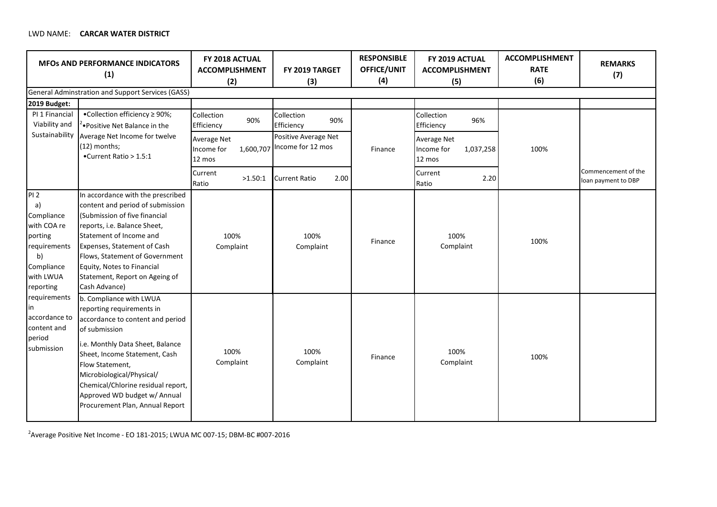|                                                                                                                        | <b>MFOS AND PERFORMANCE INDICATORS</b><br>(1)                                                                                                                                                                                                                                                                                           | FY 2018 ACTUAL<br><b>ACCOMPLISHMENT</b><br>(2) | FY 2019 TARGET<br>(3)                               | <b>RESPONSIBLE</b><br>OFFICE/UNIT<br>(4) | FY 2019 ACTUAL<br><b>ACCOMPLISHMENT</b><br>(5)   | <b>ACCOMPLISHMENT</b><br><b>RATE</b><br>(6) | <b>REMARKS</b><br>(7)                      |
|------------------------------------------------------------------------------------------------------------------------|-----------------------------------------------------------------------------------------------------------------------------------------------------------------------------------------------------------------------------------------------------------------------------------------------------------------------------------------|------------------------------------------------|-----------------------------------------------------|------------------------------------------|--------------------------------------------------|---------------------------------------------|--------------------------------------------|
|                                                                                                                        | <b>General Adminstration and Support Services (GASS)</b>                                                                                                                                                                                                                                                                                |                                                |                                                     |                                          |                                                  |                                             |                                            |
| 2019 Budget:                                                                                                           |                                                                                                                                                                                                                                                                                                                                         |                                                |                                                     |                                          |                                                  |                                             |                                            |
| PI 1 Financial<br>Viability and                                                                                        | .Collection efficiency ≥ 90%;<br><sup>2</sup> • Positive Net Balance in the                                                                                                                                                                                                                                                             | Collection<br>90%<br>Efficiency                | Collection<br>90%<br>Efficiency                     |                                          | Collection<br>96%<br>Efficiency                  |                                             |                                            |
| Sustainability                                                                                                         | Average Net Income for twelve<br>$(12)$ months;<br>•Current Ratio > 1.5:1                                                                                                                                                                                                                                                               | Average Net<br>Income for<br>12 mos            | Positive Average Net<br>1,600,707 Income for 12 mos | Finance                                  | Average Net<br>Income for<br>1,037,258<br>12 mos | 100%                                        |                                            |
|                                                                                                                        |                                                                                                                                                                                                                                                                                                                                         | Current<br>>1.50:1<br>Ratio                    | 2.00<br><b>Current Ratio</b>                        |                                          | Current<br>2.20<br>Ratio                         |                                             | Commencement of the<br>loan payment to DBP |
| <b>PI2</b><br>a)<br>Compliance<br>with COA re<br>porting<br>requirements<br>b)<br>Compliance<br>with LWUA<br>reporting | In accordance with the prescribed<br>content and period of submission<br>(Submission of five financial<br>reports, i.e. Balance Sheet,<br>Statement of Income and<br>Expenses, Statement of Cash<br>Flows, Statement of Government<br>Equity, Notes to Financial<br>Statement, Report on Ageing of<br>Cash Advance)                     | 100%<br>Complaint                              | 100%<br>Complaint                                   | Finance                                  | 100%<br>Complaint                                | 100%                                        |                                            |
| requirements<br>ın<br>accordance to<br>content and<br>period<br>submission                                             | b. Compliance with LWUA<br>reporting requirements in<br>accordance to content and period<br>of submission<br>i.e. Monthly Data Sheet, Balance<br>Sheet, Income Statement, Cash<br>Flow Statement,<br>Microbiological/Physical/<br>Chemical/Chlorine residual report,<br>Approved WD budget w/ Annual<br>Procurement Plan, Annual Report | 100%<br>Complaint                              | 100%<br>Complaint                                   | Finance                                  | 100%<br>Complaint                                | 100%                                        |                                            |

 $^2$ Average Positive Net Income - EO 181-2015; LWUA MC 007-15; DBM-BC #007-2016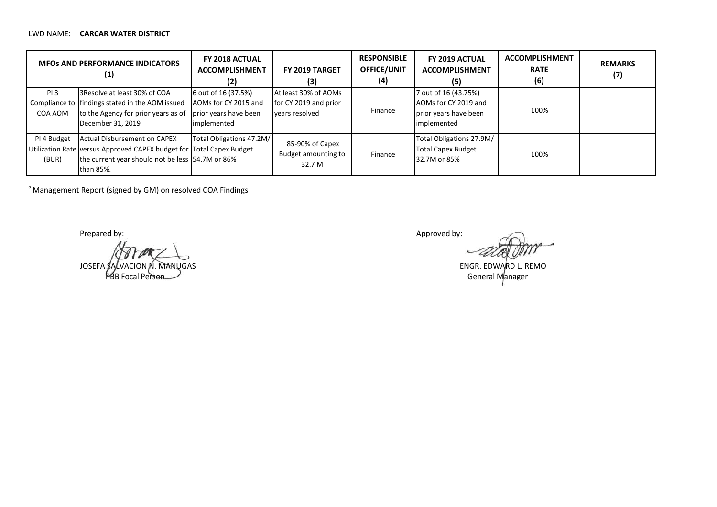## LWD NAME: **CARCAR WATER DISTRICT**

| <b>MFOS AND PERFORMANCE INDICATORS</b><br>(1) |                                                                                                                                                                              | FY 2018 ACTUAL<br><b>ACCOMPLISHMENT</b><br>(2)             | <b>FY 2019 TARGET</b><br>(3)                                    | <b>RESPONSIBLE</b><br><b>OFFICE/UNIT</b><br>$\left( 4\right)$ | <b>FY 2019 ACTUAL</b><br><b>ACCOMPLISHMENT</b><br>(5)                                | <b>ACCOMPLISHMENT</b><br><b>RATE</b><br>(6) | <b>REMARKS</b><br>(7) |
|-----------------------------------------------|------------------------------------------------------------------------------------------------------------------------------------------------------------------------------|------------------------------------------------------------|-----------------------------------------------------------------|---------------------------------------------------------------|--------------------------------------------------------------------------------------|---------------------------------------------|-----------------------|
| PI <sub>3</sub><br>COA AOM                    | 3 Resolve at least 30% of COA<br>Compliance to findings stated in the AOM issued<br>to the Agency for prior years as of prior years have been<br>December 31, 2019           | 6 out of 16 (37.5%)<br>AOMs for CY 2015 and<br>implemented | At least 30% of AOMs<br>for CY 2019 and prior<br>vears resolved | Finance                                                       | 7 out of 16 (43.75%)<br>AOMs for CY 2019 and<br>prior years have been<br>implemented | 100%                                        |                       |
| PI 4 Budget<br>(BUR)                          | <b>Actual Disbursement on CAPEX</b><br>Utilization Rate versus Approved CAPEX budget for Total Capex Budget<br>the current year should not be less 54.7M or 86%<br>than 85%. | Total Obligations 47.2M/                                   | 85-90% of Capex<br>Budget amounting to<br>32.7 M                | Finance                                                       | Total Obligations 27.9M/<br><b>Total Capex Budget</b><br>32.7M or 85%                | 100%                                        |                       |

3 Management Report (signed by GM) on resolved COA Findings

JOSEFA SALVACION N. MANUGAS ENGR. EDWARD L. REMO PBB Focal Person

Prepared by: Approved by: Approved by: Approved by: Approved by: Approved by: Approved by: Approved by: Approved by: Approved by: Approved by: Approved by: Approved by: Approved by: Approved by: Approved by: Approved by: A

General Manager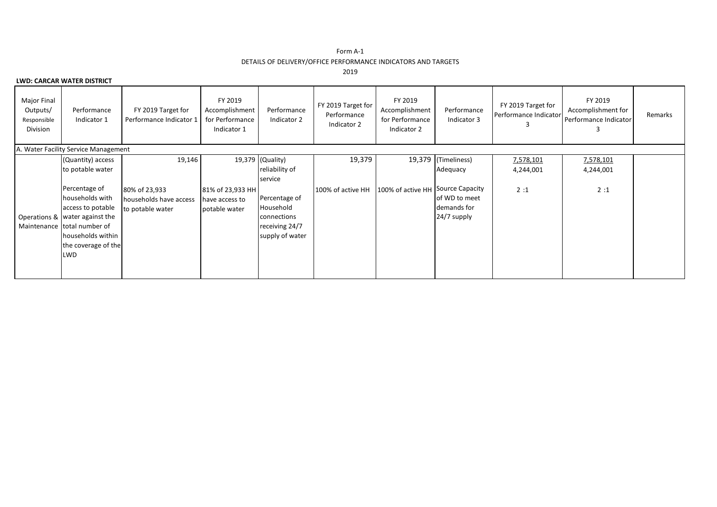#### Form A-1

### DETAILS OF DELIVERY/OFFICE PERFORMANCE INDICATORS AND TARGETS

2019

#### **LWD: CARCAR WATER DISTRICT**

| Major Final<br>Outputs/<br>Responsible<br>Division | Performance<br>Indicator 1                                                                                                                                                       | FY 2019 Target for<br>Performance Indicator 1               | FY 2019<br>Accomplishment<br>for Performance<br>Indicator 1 | Performance<br>Indicator 2                                                     | FY 2019 Target for<br>Performance<br>Indicator 2 | FY 2019<br>Accomplishment<br>for Performance<br>Indicator 2 | Performance<br>Indicator 3                                     | FY 2019 Target for<br>Performance Indicator | FY 2019<br>Accomplishment for<br>Performance Indicator | Remarks |
|----------------------------------------------------|----------------------------------------------------------------------------------------------------------------------------------------------------------------------------------|-------------------------------------------------------------|-------------------------------------------------------------|--------------------------------------------------------------------------------|--------------------------------------------------|-------------------------------------------------------------|----------------------------------------------------------------|---------------------------------------------|--------------------------------------------------------|---------|
|                                                    | A. Water Facility Service Management                                                                                                                                             |                                                             |                                                             |                                                                                |                                                  |                                                             |                                                                |                                             |                                                        |         |
|                                                    | (Quantity) access<br>to potable water                                                                                                                                            | 19,146                                                      |                                                             | 19,379 (Quality)<br>reliability of<br>service                                  | 19,379                                           |                                                             | 19,379 (Timeliness)<br>Adequacy                                | 7,578,101<br>4,244,001                      | 7,578,101<br>4,244,001                                 |         |
|                                                    | Percentage of<br>households with<br>access to potable<br>Operations & water against the<br>Maintenance total number of<br>households within<br>the coverage of the<br><b>LWD</b> | 80% of 23,933<br>households have access<br>to potable water | 81% of 23,933 HH<br>have access to<br>potable water         | Percentage of<br>Household<br>connections<br>receiving 24/7<br>supply of water | 100% of active HH                                | 100% of active HH                                           | Source Capacity<br>of WD to meet<br>demands for<br>24/7 supply | 2:1                                         | 2:1                                                    |         |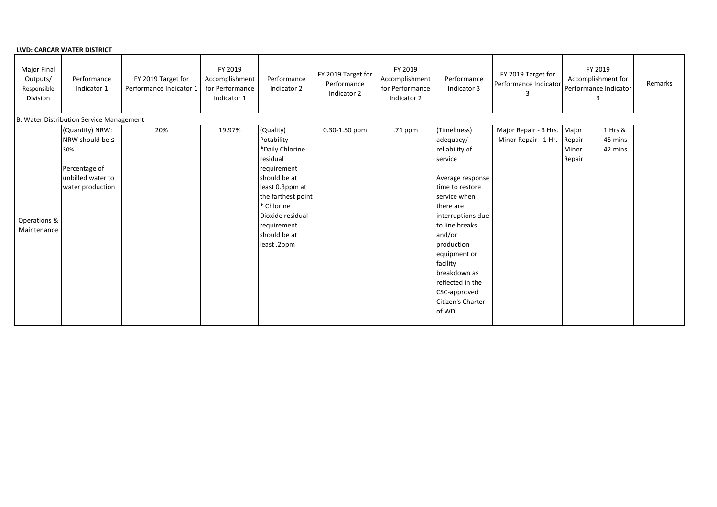|                                                    | <b>LWD: CARCAR WATER DISTRICT</b>                                                                   |                                               |                                                             |                                                                                                                                                                                                               |                                                  |                                                             |                                                                                                                                                                                                                                                                                                         |                                                     |                                                             |                               |         |
|----------------------------------------------------|-----------------------------------------------------------------------------------------------------|-----------------------------------------------|-------------------------------------------------------------|---------------------------------------------------------------------------------------------------------------------------------------------------------------------------------------------------------------|--------------------------------------------------|-------------------------------------------------------------|---------------------------------------------------------------------------------------------------------------------------------------------------------------------------------------------------------------------------------------------------------------------------------------------------------|-----------------------------------------------------|-------------------------------------------------------------|-------------------------------|---------|
| Major Final<br>Outputs/<br>Responsible<br>Division | Performance<br>Indicator 1                                                                          | FY 2019 Target for<br>Performance Indicator 1 | FY 2019<br>Accomplishment<br>for Performance<br>Indicator 1 | Performance<br>Indicator 2                                                                                                                                                                                    | FY 2019 Target for<br>Performance<br>Indicator 2 | FY 2019<br>Accomplishment<br>for Performance<br>Indicator 2 | Performance<br>Indicator 3                                                                                                                                                                                                                                                                              | FY 2019 Target for<br>Performance Indicator         | FY 2019<br>Accomplishment for<br>Performance Indicator<br>3 |                               | Remarks |
|                                                    | B. Water Distribution Service Management                                                            |                                               |                                                             |                                                                                                                                                                                                               |                                                  |                                                             |                                                                                                                                                                                                                                                                                                         |                                                     |                                                             |                               |         |
| Operations &<br>Maintenance                        | (Quantity) NRW:<br>NRW should be ≤<br>30%<br>Percentage of<br>unbilled water to<br>water production | 20%                                           | 19.97%                                                      | (Quality)<br>Potability<br>*Daily Chlorine<br>residual<br>requirement<br>should be at<br>least 0.3ppm at<br>the farthest point<br>* Chlorine<br>Dioxide residual<br>requirement<br>should be at<br>least.2ppm | 0.30-1.50 ppm                                    | .71 ppm                                                     | (Timeliness)<br>adequacy/<br>reliability of<br>service<br>Average response<br>time to restore<br>service when<br>there are<br>interruptions due<br>to line breaks<br>and/or<br>production<br>equipment or<br>facility<br>breakdown as<br>reflected in the<br>CSC-approved<br>Citizen's Charter<br>of WD | Major Repair - 3 Hrs. Major<br>Minor Repair - 1 Hr. | Repair<br>Minor<br>Repair                                   | 1 Hrs &<br>45 mins<br>42 mins |         |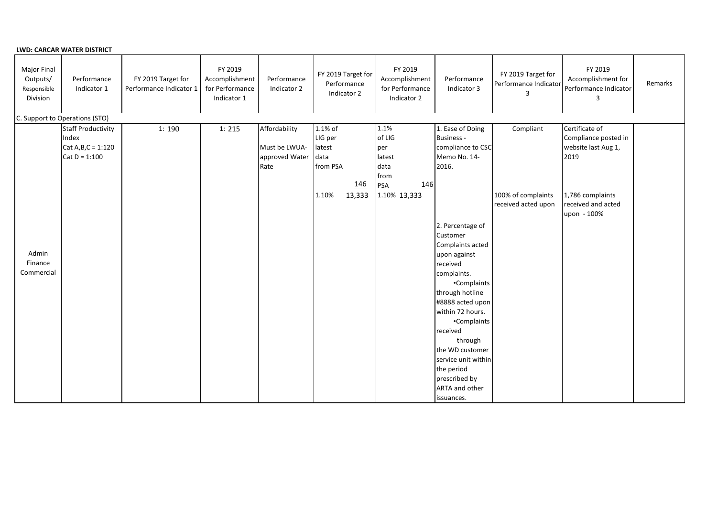| Major Final<br>FY 2019<br>FY 2019<br>FY 2019<br>FY 2019 Target for<br>FY 2019 Target for<br>Outputs/<br>Performance<br>FY 2019 Target for<br>Accomplishment<br>Performance<br>Performance<br>Accomplishment for<br>Accomplishment<br>Performance<br>Performance Indicator<br>Performance Indicator 1<br>for Performance<br>for Performance<br>Performance Indicator<br>Responsible<br>Indicator 1<br>Indicator 2<br>Indicator 3<br>Indicator 2<br>3<br>Division<br>Indicator 1<br>Indicator 2<br>3<br>C. Support to Operations (STO)<br>1.1%<br>Certificate of<br><b>Staff Productivity</b><br>Affordability<br>1.1% of<br>1. Ease of Doing<br>Compliant<br>1:190<br>1:215<br>of LIG<br>LIG per<br><b>Business -</b><br>Compliance posted in<br>Index<br>$Cat A, B, C = 1:120$<br>Must be LWUA-<br>compliance to CSC<br>website last Aug 1,<br>latest<br>per<br>latest<br>$Cat D = 1:100$<br>Memo No. 14-<br>approved Water<br>data<br>2019<br>data<br>from PSA<br>2016.<br>Rate<br>from<br>146<br>146<br><b>PSA</b><br>1.10% 13,333<br>100% of complaints<br>1,786 complaints<br>1.10%<br>13,333<br>received and acted<br>received acted upon<br>upon - 100%<br>2. Percentage of<br>Customer<br>Complaints acted<br>Admin<br>upon against<br>Finance<br>received<br>Commercial<br>complaints.<br>•Complaints<br>through hotline<br>#8888 acted upon<br>within 72 hours.<br>•Complaints | <b>LWD: CARCAR WATER DISTRICT</b> |  |  |          |  |         |
|-----------------------------------------------------------------------------------------------------------------------------------------------------------------------------------------------------------------------------------------------------------------------------------------------------------------------------------------------------------------------------------------------------------------------------------------------------------------------------------------------------------------------------------------------------------------------------------------------------------------------------------------------------------------------------------------------------------------------------------------------------------------------------------------------------------------------------------------------------------------------------------------------------------------------------------------------------------------------------------------------------------------------------------------------------------------------------------------------------------------------------------------------------------------------------------------------------------------------------------------------------------------------------------------------------------------------------------------------------------------------------------------|-----------------------------------|--|--|----------|--|---------|
|                                                                                                                                                                                                                                                                                                                                                                                                                                                                                                                                                                                                                                                                                                                                                                                                                                                                                                                                                                                                                                                                                                                                                                                                                                                                                                                                                                                         |                                   |  |  |          |  | Remarks |
|                                                                                                                                                                                                                                                                                                                                                                                                                                                                                                                                                                                                                                                                                                                                                                                                                                                                                                                                                                                                                                                                                                                                                                                                                                                                                                                                                                                         |                                   |  |  |          |  |         |
| through<br>the WD customer<br>service unit within<br>the period<br>prescribed by<br>ARTA and other<br>issuances.                                                                                                                                                                                                                                                                                                                                                                                                                                                                                                                                                                                                                                                                                                                                                                                                                                                                                                                                                                                                                                                                                                                                                                                                                                                                        |                                   |  |  | received |  |         |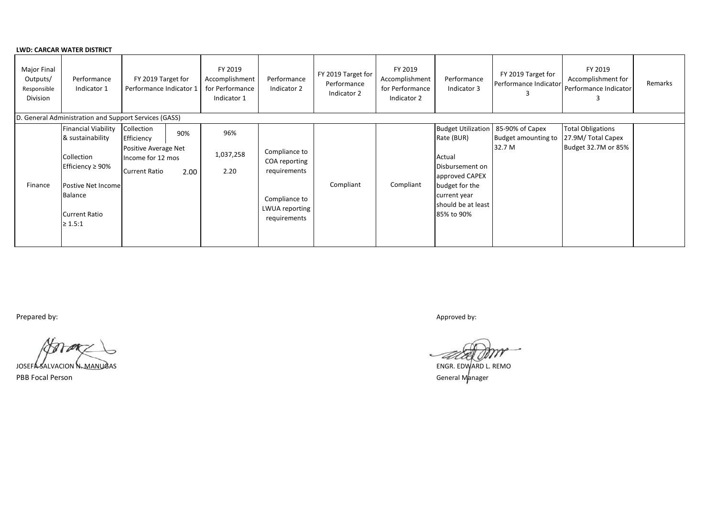|                                                           | <b>LWD: CARCAR WATER DISTRICT</b>                                                                                                                                   |                                                                                 |             |                                                             |                                                                                                   |                                                  |                                                             |                                                                                                                                                              |                                                  |                                                                       |         |
|-----------------------------------------------------------|---------------------------------------------------------------------------------------------------------------------------------------------------------------------|---------------------------------------------------------------------------------|-------------|-------------------------------------------------------------|---------------------------------------------------------------------------------------------------|--------------------------------------------------|-------------------------------------------------------------|--------------------------------------------------------------------------------------------------------------------------------------------------------------|--------------------------------------------------|-----------------------------------------------------------------------|---------|
| <b>Major Final</b><br>Outputs/<br>Responsible<br>Division | Performance<br>Indicator 1                                                                                                                                          | FY 2019 Target for<br>Performance Indicator 1                                   |             | FY 2019<br>Accomplishment<br>for Performance<br>Indicator 1 | Performance<br>Indicator 2                                                                        | FY 2019 Target for<br>Performance<br>Indicator 2 | FY 2019<br>Accomplishment<br>for Performance<br>Indicator 2 | Performance<br>Indicator 3                                                                                                                                   | FY 2019 Target for<br>Performance Indicator      | FY 2019<br>Accomplishment for<br>Performance Indicator                | Remarks |
|                                                           | D. General Administration and Support Services (GASS)                                                                                                               |                                                                                 |             |                                                             |                                                                                                   |                                                  |                                                             |                                                                                                                                                              |                                                  |                                                                       |         |
| Finance                                                   | Financial Viability Collection<br>& sustainability<br>Collection<br>Efficiency $\geq 90\%$<br>Postive Net Income<br>Balance<br><b>Current Ratio</b><br>$\geq 1.5:1$ | Efficiency<br>Positive Average Net<br>Income for 12 mos<br><b>Current Ratio</b> | 90%<br>2.00 | 96%<br>1,037,258<br>2.20                                    | Compliance to<br>COA reporting<br>requirements<br>Compliance to<br>LWUA reporting<br>requirements | Compliant                                        | Compliant                                                   | <b>Budget Utilization</b><br>Rate (BUR)<br>Actual<br>Disbursement on<br>approved CAPEX<br>budget for the<br>current year<br>should be at least<br>85% to 90% | 85-90% of Capex<br>Budget amounting to<br>32.7 M | <b>Total Obligations</b><br>27.9M/ Total Capex<br>Budget 32.7M or 85% |         |

Prepared by: Approved by: Approved by: Approved by: Approved by: Approved by: Approved by: Approved by: Approved by: Approved by: Approved by: Approved by: Approved by: Approved by: Approved by: Approved by: Approved by: A

B

**PBB Focal Person** General Manager

AA

JOSEFA SALVACION N. MANUGAS ENGR. EDWARD L. REMO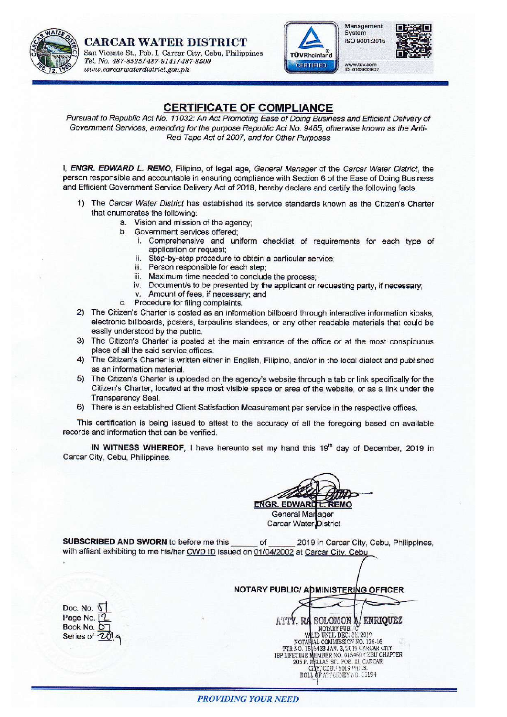

**CARCAR WATER DISTRICT** San Vicente St., Pob. I. Carcar City, Cebu, Philippines Tel. No. 487-8525/487-9141/487-8500  $www. car car water distinct.gov.php$ 



Management System ISO 9001:2015



**CERTIFICATE OF COMPLIANCE** 

Pursuant to Republic Act No. 11032: An Act Promoting Ease of Doing Business and Efficient Delivery of Government Services, amending for the purpose Republic Act No. 9485, otherwise known as the Anti-Red Tape Act of 2007, and for Other Purposes

I, ENGR. EDWARD L. REMO, Filipino, of legal age, General Manager of the Carcar Water District, the person responsible and accountable in ensuring compliance with Section 6 of the Ease of Doing Business and Efficient Government Service Delivery Act of 2018, hereby declare and certify the following facts:

- 1) The Carcar Water District has established its service standards known as the Citizen's Charter that enumerates the following:
	- a. Vision and mission of the agency:
	- b. Government services offered;
		- i. Comprehensive and uniform checklist of requirements for each type of application or request:
		- ii. Step-by-step procedure to obtain a particular service:
		- iii. Person responsible for each step;
		- iii. Maximum time needed to conclude the process;
		- iv. Document/s to be presented by the applicant or requesting party, if necessary;
		- v. Amount of fees, if necessary; and
	- $\Omega$ Procedure for filing complaints.
- 2) The Citizen's Charter is posted as an information billboard through interactive information kiosks, electronic biliboards, posters, tarpaulins standees, or any other readable materials that could be easily understood by the public.
- 3) The Citizen's Charter is posted at the main entrance of the office or at the most conspicuous place of all the said service offices.
- 4) The Citizen's Charter is written either in English, Filipino, and/or in the local dialect and published as an information material.
- 5) The Citizen's Charter is uploaded on the agency's website through a tab or link specifically for the Citizen's Charter, located at the most visible space or area of the website, or as a link under the **Transparency Seal.**
- 6) There is an established Client Satisfaction Measurement per service in the respective offices.

This certification is being issued to attest to the accuracy of all the foregoing based on available records and information that can be verified.

IN WITNESS WHEREOF, I have hereunto set my hand this 19<sup>th</sup> day of December, 2019 in Carcar City, Cebu, Philippines.

| The            | n |
|----------------|---|
| GR. EDWAI<br>Е |   |
|                |   |

General Manager Carcar Water District

SUBSCRIBED AND SWORN to before me this of 2019 in Carcar City, Cebu, Philippines, with affiant exhibiting to me his/her CWD ID issued on 01/04/2002 at Carcar City, Cebu

Doc. No.  $\sqrt{ }$ Page No. | 2 Book No. O Series of 20

| NOTARY PUBLIC/ ADMINISTERING OFFICER |  |  |  |
|--------------------------------------|--|--|--|
|                                      |  |  |  |

SOLOMON A/ENRIQUEZ ATTY, RA VALID UNTIL DEC. 31, 2019<br>NOTANAL COMMISSION NO. 125-16<br>PTR NO. 1516433 JAN. 3, 2019 CARCAR CITY **FIRE MEMBER NO. 015460 CZEU CHAPTER**<br> **IBP LIFETIME MEMBER NO. 015460 CZEU CHAPTER**<br>
205 P. NELLAS ST., POB. III, CAFCAR<br> **CITY, CEBU 6019 PHILS.**<br>
ROLL OF ATTORNEY NO. 05194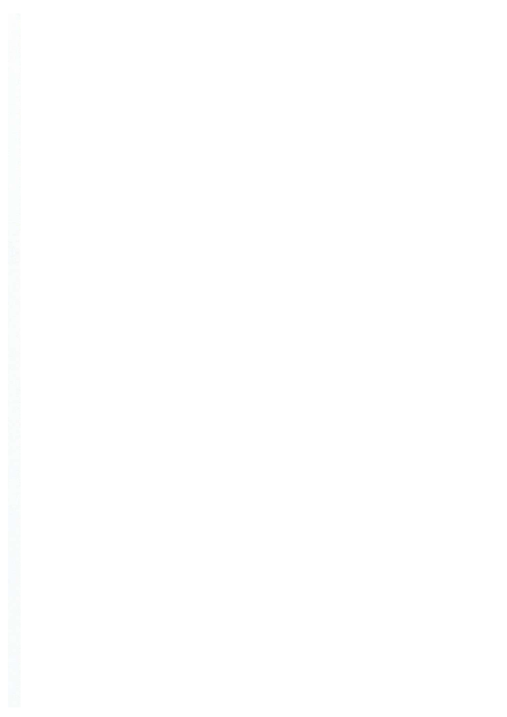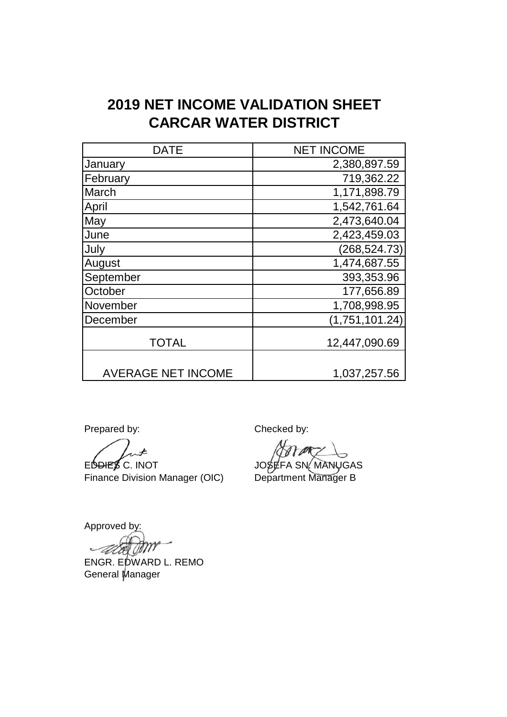# **2019 NET INCOME VALIDATION SHEET CARCAR WATER DISTRICT**

| <b>DATE</b>               | <b>NET INCOME</b> |
|---------------------------|-------------------|
| January                   | 2,380,897.59      |
| February                  | 719,362.22        |
| March                     | 1,171,898.79      |
| April                     | 1,542,761.64      |
| May                       | 2,473,640.04      |
| June                      | 2,423,459.03      |
| July                      | (268, 524.73)     |
| August                    | 1,474,687.55      |
| September                 | 393,353.96        |
| October                   | 177,656.89        |
| November                  | 1,708,998.95      |
| December                  | (1,751,101.24)    |
| <b>TOTAL</b>              | 12,447,090.69     |
| <b>AVERAGE NET INCOME</b> | 1,037,257.56      |

Prepared by: Checked by:

EDDIES C. INOT<br>Finance Division Manager (OIC) Department Manager B Finance Division Manager (OIC)

rar

Approved by:

accel Om

ENGR. EDWARD L. REMO General Manager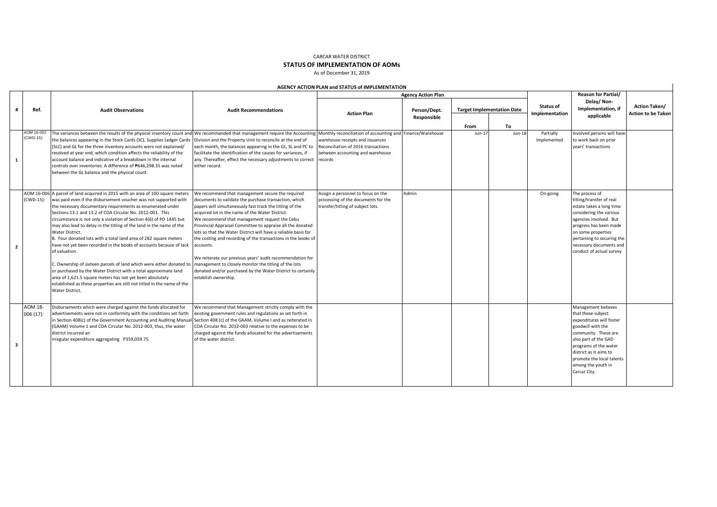#### CARCAR WATER DISTRICT

**STATUS OF IMPLEMENTATION OF AOMs**

As of December 31, 2019

|                |                         |                                                                                                                                                                                                                                                                                                                                                                                                                                                                                                                                                                                                                                                                                                                                                                                                                                                                                                                                                                          |                                                                                                                                                                                                                                                                                                                                                                                                                                                                                                                                                                                                                                             | AGENCY ACTION PLAN and STATUS of IMPLEMENTATION                                                                                                                                      |                             |        |                                         |                                    |                                                                                                                                                                                                                                                                  |                                                   |
|----------------|-------------------------|--------------------------------------------------------------------------------------------------------------------------------------------------------------------------------------------------------------------------------------------------------------------------------------------------------------------------------------------------------------------------------------------------------------------------------------------------------------------------------------------------------------------------------------------------------------------------------------------------------------------------------------------------------------------------------------------------------------------------------------------------------------------------------------------------------------------------------------------------------------------------------------------------------------------------------------------------------------------------|---------------------------------------------------------------------------------------------------------------------------------------------------------------------------------------------------------------------------------------------------------------------------------------------------------------------------------------------------------------------------------------------------------------------------------------------------------------------------------------------------------------------------------------------------------------------------------------------------------------------------------------------|--------------------------------------------------------------------------------------------------------------------------------------------------------------------------------------|-----------------------------|--------|-----------------------------------------|------------------------------------|------------------------------------------------------------------------------------------------------------------------------------------------------------------------------------------------------------------------------------------------------------------|---------------------------------------------------|
|                |                         |                                                                                                                                                                                                                                                                                                                                                                                                                                                                                                                                                                                                                                                                                                                                                                                                                                                                                                                                                                          |                                                                                                                                                                                                                                                                                                                                                                                                                                                                                                                                                                                                                                             |                                                                                                                                                                                      | <b>Agency Action Plan</b>   |        |                                         | <b>Status of</b><br>Implementation | <b>Reason for Partial/</b><br>Delay/Non-<br>Implementation, if<br>applicable                                                                                                                                                                                     |                                                   |
| #              | Ref.                    | <b>Audit Observations</b>                                                                                                                                                                                                                                                                                                                                                                                                                                                                                                                                                                                                                                                                                                                                                                                                                                                                                                                                                | <b>Audit Recommendations</b>                                                                                                                                                                                                                                                                                                                                                                                                                                                                                                                                                                                                                | <b>Action Plan</b>                                                                                                                                                                   | Person/Dept.<br>Responsible | From   | <b>Target Implementation Date</b><br>To |                                    |                                                                                                                                                                                                                                                                  | <b>Action Taken/</b><br><b>Action to be Taken</b> |
| $\mathbf{1}$   | AOM 16-002<br>(CWD-15): | The variances between the results of the physical inventory count and We recommended that management require the Accounting<br>the balances appearing in the Stock Cards (SC), Supplies Ledger Cards<br>(SLC) and GL for the three inventory accounts were not explained/<br>resolved at year end, which condition affects the reliability of the<br>account balance and indicative of a breakdown in the internal<br>controls over inventories. A difference of P646,298.35 was noted<br>between the GL balance and the physical count.                                                                                                                                                                                                                                                                                                                                                                                                                                 | Division and the Property Unit to reconcile at the end of<br>each month, the balances appearing in the GL, SL and PC to<br>facilitate the identification of the causes for variances, if<br>any. Thereafter, effect the necessary adjustments to correct<br>either record.                                                                                                                                                                                                                                                                                                                                                                  | Monthly reconciliation of accounting and Finance/Warehouse<br>warehouse receipts and issuances<br>Reconciliation of 2016 transactions<br>between accounting and warehouse<br>records |                             | Jun-17 | Jun-18                                  | Partially<br>Implemented           | Involved persons will have<br>to work back on prior<br>years' transactions                                                                                                                                                                                       |                                                   |
| $\overline{2}$ | (CWD-15):               | AOM 16-006 A parcel of land acquired in 2015 with an area of 100 square meters<br>was paid even if the disbursement voucher was not supported with<br>the necessary documentary requirements as enumerated under<br>Sections 13.1 and 13.2 of COA Circular No. 2012-001. This<br>circumstance is not only a violation of Section 4(6) of PD 1445 but<br>may also lead to delay in the titling of the land in the name of the<br>Water District.<br>B. Four donated lots with a total land area of 282 square meters<br>have not yet been recorded in the books of accounts because of lack<br>of valuation.<br>C. Ownership of sixteen parcels of land which were either donated to management to closely monitor the titling of the lots<br>or purchased by the Water District with a total approximate land<br>area of 1,621.5 square meters has not yet been absolutely<br>established as these properties are still not titled in the name of the<br>Water District. | We recommend that management secure the required<br>documents to validate the purchase transaction, which<br>papers will simultaneously fast track the titling of the<br>acquired lot in the name of the Water District.<br>We recommend that management request the Cebu<br>Provincial Appraisal Committee to appraise all the donated<br>lots so that the Water District will have a reliable basis for<br>the costing and recording of the transactions in the books of<br>accounts.<br>We reiterate our previous years' audit recommendation for<br>donated and/or purchased by the Water District to certainly<br>establish ownership. | Assign a personnel to focus on the<br>processing of the documents for the<br>transfer/titling of subject lots.                                                                       | Admin                       |        |                                         | On-going                           | The process of<br>titling/transfer of real<br>estate takes a long time<br>considering the various<br>agencies involved. But<br>progress has been made<br>on some properties<br>pertaining to securing the<br>necessary documents and<br>conduct of actual survey |                                                   |
| 3              | AOM 18-<br>006 (17):    | Disbursements which were charged against the funds allocated for<br>advertisements were not in conformity with the conditions set forth<br>n Section 408(c) of the Government Accounting and Auditing Manual<br>(GAAM) Volume 1 and COA Circular No. 2012-003, thus, the water<br>district incurred an<br>irregular expenditure aggregating P359,059.75.                                                                                                                                                                                                                                                                                                                                                                                                                                                                                                                                                                                                                 | We recommend that Management strictly comply with the<br>existing government rules and regulations as set forth in<br>Section 408 (c) of the GAAM, Volume I and as reiterated in<br>COA Circular No. 2012-003 relative to the expenses to be<br>charged against the funds allocated for the advertisements<br>of the water district.                                                                                                                                                                                                                                                                                                        |                                                                                                                                                                                      |                             |        |                                         |                                    | Management believes<br>that these subject<br>expenditures will foster<br>goodwill with the<br>community. These are<br>also part of the GAD<br>programs of the water<br>district as it aims to<br>promote the local talents<br>among the youth in<br>Carcar City. |                                                   |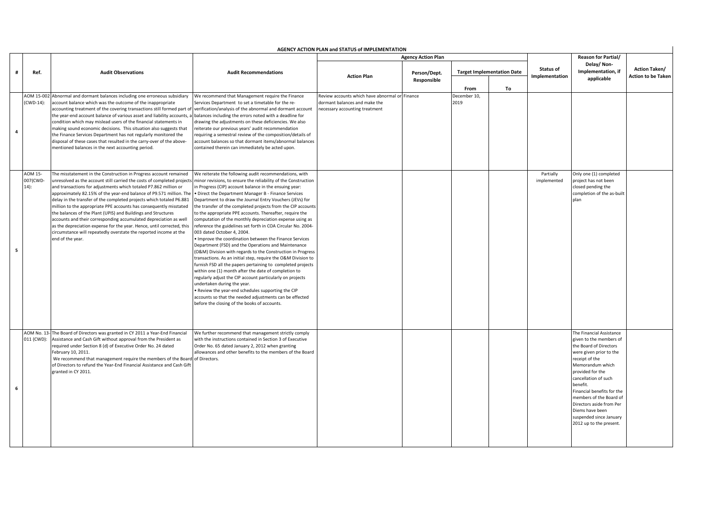|                |                                |                                                                                                                                                                                                                                                                                                                                                                                                                                                                                                                                                                                                                                                                                                                                                |                                                                                                                                                                                                                                                                                                                                                                                                                                                                                                                                                                                                                                                                                                                                                                                                                                                                                                                                                                                                                                                                                                                                                                                                                                    | AGENCY ACTION PLAN and STATUS of IMPLEMENTATION                                                           |                             |                      |                                         |                                    |                                                                                                                                                                                                                                                                                                                                                                      |                                                   |
|----------------|--------------------------------|------------------------------------------------------------------------------------------------------------------------------------------------------------------------------------------------------------------------------------------------------------------------------------------------------------------------------------------------------------------------------------------------------------------------------------------------------------------------------------------------------------------------------------------------------------------------------------------------------------------------------------------------------------------------------------------------------------------------------------------------|------------------------------------------------------------------------------------------------------------------------------------------------------------------------------------------------------------------------------------------------------------------------------------------------------------------------------------------------------------------------------------------------------------------------------------------------------------------------------------------------------------------------------------------------------------------------------------------------------------------------------------------------------------------------------------------------------------------------------------------------------------------------------------------------------------------------------------------------------------------------------------------------------------------------------------------------------------------------------------------------------------------------------------------------------------------------------------------------------------------------------------------------------------------------------------------------------------------------------------|-----------------------------------------------------------------------------------------------------------|-----------------------------|----------------------|-----------------------------------------|------------------------------------|----------------------------------------------------------------------------------------------------------------------------------------------------------------------------------------------------------------------------------------------------------------------------------------------------------------------------------------------------------------------|---------------------------------------------------|
|                |                                |                                                                                                                                                                                                                                                                                                                                                                                                                                                                                                                                                                                                                                                                                                                                                |                                                                                                                                                                                                                                                                                                                                                                                                                                                                                                                                                                                                                                                                                                                                                                                                                                                                                                                                                                                                                                                                                                                                                                                                                                    |                                                                                                           | <b>Agency Action Plan</b>   |                      |                                         |                                    | <b>Reason for Partial/</b>                                                                                                                                                                                                                                                                                                                                           |                                                   |
| #              | Ref.                           | <b>Audit Observations</b>                                                                                                                                                                                                                                                                                                                                                                                                                                                                                                                                                                                                                                                                                                                      | <b>Audit Recommendations</b>                                                                                                                                                                                                                                                                                                                                                                                                                                                                                                                                                                                                                                                                                                                                                                                                                                                                                                                                                                                                                                                                                                                                                                                                       | <b>Action Plan</b>                                                                                        | Person/Dept.<br>Responsible | From                 | <b>Target Implementation Date</b><br>To | <b>Status of</b><br>Implementation | Delay/Non-<br>Implementation, if<br>applicable                                                                                                                                                                                                                                                                                                                       | <b>Action Taken/</b><br><b>Action to be Taken</b> |
| $\overline{a}$ | AOM 15-002<br>$(CWD-14)$ :     | Abnormal and dormant balances including one erroneous subsidiary<br>account balance which was the outcome of the inappropriate<br>accounting treatment of the covering transactions still formed part of<br>the year-end account balance of various asset and liability accounts, a<br>condition which may mislead users of the financial statements in<br>making sound economic decisions. This situation also suggests that<br>the Finance Services Department has not regularly monitored the<br>disposal of these cases that resulted in the carry-over of the above-<br>mentioned balances in the next accounting period.                                                                                                                 | We recommend that Management require the Finance<br>Services Department to set a timetable for the re-<br>verification/analysis of the abnormal and dormant account<br>balances including the errors noted with a deadline for<br>drawing the adjustments on these deficiencies. We also<br>reiterate our previous years' audit recommendation<br>requiring a semestral review of the composition/details of<br>account balances so that dormant items/abnormal balances<br>contained therein can immediately be acted upon.                                                                                                                                                                                                                                                                                                                                                                                                                                                                                                                                                                                                                                                                                                       | Review accounts which have abnormal or<br>dormant balances and make the<br>necessary accounting treatment | Finance                     | December 10,<br>2019 |                                         |                                    |                                                                                                                                                                                                                                                                                                                                                                      |                                                   |
| 5              | AOM 15-<br>007(CWD-<br>$14)$ : | The misstatement in the Construction in Progress account remained<br>unresolved as the account still carried the costs of completed projects<br>and transactions for adjustments which totaled P7.862 million or<br>approximately 82.15% of the year-end balance of P9.571 million. The<br>delay in the transfer of the completed projects which totaled P6.881<br>million to the appropriate PPE accounts has consequently misstated<br>the balances of the Plant (UPIS) and Buildings and Structures<br>accounts and their corresponding accumulated depreciation as well<br>as the depreciation expense for the year. Hence, until corrected, this<br>circumstance will repeatedly overstate the reported income at the<br>end of the year. | We reiterate the following audit recommendations, with<br>minor revisions, to ensure the reliability of the Construction<br>in Progress (CIP) account balance in the ensuing year:<br>• Direct the Department Manager B - Finance Services<br>Department to draw the Journal Entry Vouchers (JEVs) for<br>the transfer of the completed projects from the CIP accounts<br>to the appropriate PPE accounts. Thereafter, require the<br>computation of the monthly depreciation expense using as<br>reference the guidelines set forth in COA Circular No. 2004-<br>003 dated October 4, 2004.<br>. Improve the coordination between the Finance Services<br>Department (FSD) and the Operations and Maintenance<br>(O&M) Division with regards to the Construction in Progress<br>transactions. As an initial step, require the O&M Division to<br>furnish FSD all the papers pertaining to completed projects<br>within one (1) month after the date of completion to<br>regularly adjust the CIP account particularly on projects<br>undertaken during the year.<br>. Review the year-end schedules supporting the CIP<br>accounts so that the needed adjustments can be effected<br>before the closing of the books of accounts. |                                                                                                           |                             |                      |                                         | Partially<br>implemented           | Only one (1) completed<br>project has not been<br>closed pending the<br>completion of the as-built<br>plan                                                                                                                                                                                                                                                           |                                                   |
| 6              | 011 (CWD):                     | AOM No. 13- The Board of Directors was granted in CY 2011 a Year-End Financial<br>Assistance and Cash Gift without approval from the President as<br>required under Section 8 (d) of Executive Order No. 24 dated<br>February 10, 2011.<br>We recommend that management require the members of the Board<br>of Directors to refund the Year-End Financial Assistance and Cash Gift<br>granted in CY 2011.                                                                                                                                                                                                                                                                                                                                      | We further recommend that management strictly comply<br>with the instructions contained in Section 3 of Executive<br>Order No. 65 dated January 2, 2012 when granting<br>allowances and other benefits to the members of the Board<br>of Directors.                                                                                                                                                                                                                                                                                                                                                                                                                                                                                                                                                                                                                                                                                                                                                                                                                                                                                                                                                                                |                                                                                                           |                             |                      |                                         |                                    | The Financial Assistance<br>given to the members of<br>the Board of Directors<br>were given prior to the<br>receipt of the<br>Memorandum which<br>provided for the<br>cancellation of such<br>benefit.<br>Financial benefits for the<br>members of the Board of<br>Directors aside from Per<br>Diems have been<br>suspended since January<br>2012 up to the present. |                                                   |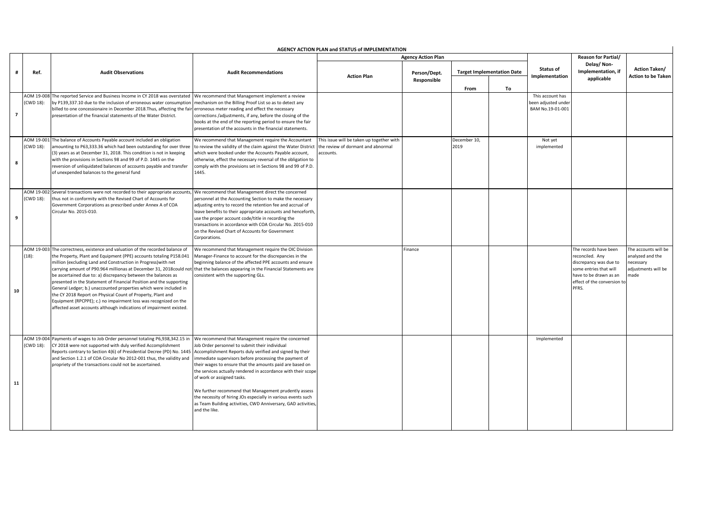|                          |                         |                                                                                                                                                                                                                                                                                                                                                                                                                                                                                                                                                                                                                                                                                                                                                                                 |                                                                                                                                                                                                                                                                                                                                                                                                                                                                                                                                       | AGENCY ACTION PLAN and STATUS of IMPLEMENTATION                                              |                             |                      |                                         |                                                             |                                                                                                                                                               |                                                                                     |
|--------------------------|-------------------------|---------------------------------------------------------------------------------------------------------------------------------------------------------------------------------------------------------------------------------------------------------------------------------------------------------------------------------------------------------------------------------------------------------------------------------------------------------------------------------------------------------------------------------------------------------------------------------------------------------------------------------------------------------------------------------------------------------------------------------------------------------------------------------|---------------------------------------------------------------------------------------------------------------------------------------------------------------------------------------------------------------------------------------------------------------------------------------------------------------------------------------------------------------------------------------------------------------------------------------------------------------------------------------------------------------------------------------|----------------------------------------------------------------------------------------------|-----------------------------|----------------------|-----------------------------------------|-------------------------------------------------------------|---------------------------------------------------------------------------------------------------------------------------------------------------------------|-------------------------------------------------------------------------------------|
|                          |                         |                                                                                                                                                                                                                                                                                                                                                                                                                                                                                                                                                                                                                                                                                                                                                                                 |                                                                                                                                                                                                                                                                                                                                                                                                                                                                                                                                       |                                                                                              | <b>Agency Action Plan</b>   |                      |                                         |                                                             | <b>Reason for Partial/</b>                                                                                                                                    |                                                                                     |
| #                        | Ref.                    | <b>Audit Observations</b>                                                                                                                                                                                                                                                                                                                                                                                                                                                                                                                                                                                                                                                                                                                                                       | <b>Audit Recommendations</b>                                                                                                                                                                                                                                                                                                                                                                                                                                                                                                          | <b>Action Plan</b>                                                                           | Person/Dept.<br>Responsible | From                 | <b>Target Implementation Date</b><br>To | <b>Status of</b><br>Implementation                          | Delay/Non-<br>Implementation, if<br>applicable                                                                                                                | <b>Action Taken/</b><br><b>Action to be Taken</b>                                   |
| $\overline{\phantom{a}}$ | AOM 19-008<br>(CWD 18): | The reported Service and Business Income in CY 2018 was overstated<br>by P139,337.10 due to the inclusion of erroneous water consumption<br>billed to one concessionaire in December 2018. Thus, affecting the fair<br>presentation of the financial statements of the Water District.                                                                                                                                                                                                                                                                                                                                                                                                                                                                                          | We recommend that Management implement a review<br>mechanism on the Billing Proof List so as to detect any<br>erroneous meter reading and effect the necessary<br>corrections /adjustments, if any, before the closing of the<br>books at the end of the reporting period to ensure the fair<br>presentation of the accounts in the financial statements.                                                                                                                                                                             |                                                                                              |                             |                      |                                         | This account has<br>been adjusted under<br>BAM No.19-01-001 |                                                                                                                                                               |                                                                                     |
| 8                        | (CWD 18):               | AOM 19-001 The balance of Accounts Payable account included an obligation<br>amounting to P63,333.36 which had been outstanding for over three<br>(3) years as at December 31, 2018. This condition is not in keeping<br>with the provisions in Sections 98 and 99 of P.D. 1445 on the<br>reversion of unliquidated balances of accounts payable and transfer<br>of unexpended balances to the general fund                                                                                                                                                                                                                                                                                                                                                                     | We recommend that Management require the Accountant<br>to review the validity of the claim against the Water District<br>which were booked under the Accounts Payable account,<br>otherwise, effect the necessary reversal of the obligation to<br>comply with the provisions set in Sections 98 and 99 of P.D.<br>1445.                                                                                                                                                                                                              | This issue will be taken up together with<br>the review of dormant and abnormal<br>accounts. |                             | December 10,<br>2019 |                                         | Not yet<br>implemented                                      |                                                                                                                                                               |                                                                                     |
| 9                        | (CWD 18):               | AOM 19-002 Several transactions were not recorded to their appropriate accounts, We recommend that Management direct the concerned<br>thus not in conformity with the Revised Chart of Accounts for<br>Government Corporations as prescribed under Annex A of COA<br>Circular No. 2015-010.                                                                                                                                                                                                                                                                                                                                                                                                                                                                                     | personnel at the Accounting Section to make the necessary<br>adjusting entry to record the retention fee and accrual of<br>leave benefits to their appropriate accounts and henceforth,<br>use the proper account code/title in recording the<br>transactions in accordance with COA Circular No. 2015-010<br>on the Revised Chart of Accounts for Government<br>Corporations.                                                                                                                                                        |                                                                                              |                             |                      |                                         |                                                             |                                                                                                                                                               |                                                                                     |
| 10                       | $(18)$ :                | AOM 19-003 The correctness, existence and valuation of the recorded balance of<br>the Property, Plant and Equipment (PPE) accounts totaling P158.041<br>million (excluding Land and Construction in Progress) with net<br>carrying amount of P90.964 millionas at December 31, 2018could not that the balances appearing in the Financial Statements are<br>be ascertained due to: a) discrepancy between the balances as<br>presented in the Statement of Financial Position and the supporting<br>General Ledger; b.) unaccounted properties which were included in<br>the CY 2018 Report on Physical Count of Property, Plant and<br>Equipment (RPCPPE); c.) no impairment loss was recognized on the<br>affected asset accounts although indications of impairment existed. | We recommend that Management require the OIC Division<br>Manager-Finance to account for the discrepancies in the<br>beginning balance of the affected PPE accounts and ensure<br>consistent with the supporting GLs.                                                                                                                                                                                                                                                                                                                  |                                                                                              | Finance                     |                      |                                         |                                                             | The records have been<br>reconciled. Any<br>discrepancy was due to<br>some entries that will<br>have to be drawn as an<br>effect of the conversion t<br>PFRS. | The accounts will be<br>analyzed and the<br>ecessary<br>adjustments will be<br>nade |
| 11                       | (CWD 18):               | AOM 19-004 Payments of wages to Job Order personnel totaling P6,938,342.15 in<br>CY 2018 were not supported with duly verified Accomplishment<br>Reports contrary to Section 4(6) of Presidential Decree (PD) No. 1445 Accomplishment Reports duly verified and signed by their<br>and Section 1.2.1 of COA Circular No 2012-001 thus, the validity and<br>propriety of the transactions could not be ascertained.                                                                                                                                                                                                                                                                                                                                                              | We recommend that Management require the concerned<br>Job Order personnel to submit their individual<br>immediate supervisors before processing the payment of<br>their wages to ensure that the amounts paid are based on<br>the services actually rendered in accordance with their scope<br>of work or assigned tasks.<br>We further recommend that Management prudently assess<br>the necessity of hiring JOs especially in various events such<br>as Team Building activities, CWD Anniversary, GAD activities,<br>and the like. |                                                                                              |                             |                      |                                         | Implemented                                                 |                                                                                                                                                               |                                                                                     |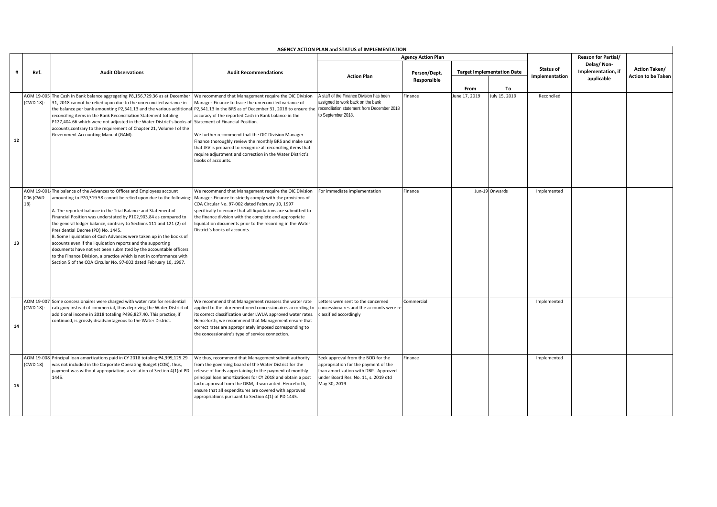|    | AGENCY ACTION PLAN and STATUS of IMPLEMENTATION |                                                                                                                                                                                                                                                                                                                                                                                                                                                                                                                                                                                                                                                                                                                                                         |                                                                                                                                                                                                                                                                                                                                                                                                                                                                                                           |                                                                                                                                                                            |                             |               |                                         |                                    |                                                       |                                            |
|----|-------------------------------------------------|---------------------------------------------------------------------------------------------------------------------------------------------------------------------------------------------------------------------------------------------------------------------------------------------------------------------------------------------------------------------------------------------------------------------------------------------------------------------------------------------------------------------------------------------------------------------------------------------------------------------------------------------------------------------------------------------------------------------------------------------------------|-----------------------------------------------------------------------------------------------------------------------------------------------------------------------------------------------------------------------------------------------------------------------------------------------------------------------------------------------------------------------------------------------------------------------------------------------------------------------------------------------------------|----------------------------------------------------------------------------------------------------------------------------------------------------------------------------|-----------------------------|---------------|-----------------------------------------|------------------------------------|-------------------------------------------------------|--------------------------------------------|
|    |                                                 |                                                                                                                                                                                                                                                                                                                                                                                                                                                                                                                                                                                                                                                                                                                                                         |                                                                                                                                                                                                                                                                                                                                                                                                                                                                                                           |                                                                                                                                                                            | <b>Agency Action Plan</b>   |               |                                         |                                    | <b>Reason for Partial/</b>                            |                                            |
| #  | Ref.                                            | <b>Audit Observations</b>                                                                                                                                                                                                                                                                                                                                                                                                                                                                                                                                                                                                                                                                                                                               | <b>Audit Recommendations</b>                                                                                                                                                                                                                                                                                                                                                                                                                                                                              | <b>Action Plan</b>                                                                                                                                                         | Person/Dept.<br>Responsible | From          | <b>Target Implementation Date</b><br>To | <b>Status of</b><br>Implementation | Delay/Non-<br><b>Implementation, if</b><br>applicable | <b>Action Taken/</b><br>Action to be Taken |
| 12 | (CWD 18):                                       | AOM 19-005 The Cash in Bank balance aggregating P8,156,729.36 as at December<br>31, 2018 cannot be relied upon due to the unreconciled variance in<br>the balance per bank amounting P2,341.13 and the various additiona<br>reconciling items in the Bank Reconciliation Statement totaling<br>P127,404.66 which were not adjusted in the Water District's books of Statement of Financial Position.<br>accounts, contrary to the requirement of Chapter 21, Volume I of the<br>Government Accounting Manual (GAM).                                                                                                                                                                                                                                     | We recommend that Management require the OIC Division<br>Manager-Finance to trace the unreconciled variance of<br>P2,341.13 in the BRS as of December 31, 2018 to ensure the<br>accuracy of the reported Cash in Bank balance in the<br>We further recommend that the OIC Division Manager-<br>Finance thoroughly review the monthly BRS and make sure<br>that JEV is prepared to recognize all reconciling items that<br>require adjustment and correction in the Water District's<br>books of accounts. | A staff of the Finance Division has been<br>assigned to work back on the bank<br>reconciliation statement from December 2018<br>to September 2018.                         | Finance                     | June 17, 2019 | July 15, 2019                           | Reconciled                         |                                                       |                                            |
| 13 | 006 (CWD<br>18)                                 | AOM 19-001 The balance of the Advances to Offices and Employees account<br>amounting to P20,319.58 cannot be relied upon due to the following:<br>A. The reported balance in the Trial Balance and Statement of<br>Financial Position was understated by P102,903.84 as compared to<br>the general ledger balance, contrary to Sections 111 and 121 (2) of<br>Presidential Decree (PD) No. 1445.<br>B. Some liquidation of Cash Advances were taken up in the books of<br>accounts even if the liquidation reports and the supporting<br>documents have not yet been submitted by the accountable officers<br>to the Finance Division, a practice which is not in conformance with<br>Section 5 of the COA Circular No. 97-002 dated February 10, 1997. | We recommend that Management require the OIC Division<br>Manager-Finance to strictly comply with the provisions of<br>COA Circular No. 97-002 dated February 10, 1997<br>specifically to ensure that all liquidations are submitted to<br>the finance division with the complete and appropriate<br>liquidation documents prior to the recording in the Water<br>District's books of accounts.                                                                                                            | For immediate implementation                                                                                                                                               | Finance                     |               | Jun-19 Onwards                          | Implemented                        |                                                       |                                            |
| 14 | (CWD 18):                                       | AOM 19-007 Some concessionaires were charged with water rate for residential<br>category instead of commercial, thus depriving the Water District of<br>additional income in 2018 totaling P496,827.40. This practice, if<br>continued, is grossly disadvantageous to the Water District.                                                                                                                                                                                                                                                                                                                                                                                                                                                               | We recommend that Management reassess the water rate<br>applied to the aforementioned concessionaires according to<br>its correct classification under LWUA approved water rates.<br>Henceforth, we recommend that Management ensure that<br>correct rates are appropriately imposed corresponding to<br>the concessionaire's type of service connection.                                                                                                                                                 | Letters were sent to the concerned<br>concessionaires and the accounts were re-<br>classified accordingly                                                                  | Commercial                  |               |                                         | Implemented                        |                                                       |                                            |
| 15 | (CWD 18)                                        | AOM 19-008 Principal loan amortizations paid in CY 2018 totaling \$4,399,125.29<br>was not included in the Corporate Operating Budget (COB), thus,<br>payment was without appropriation, a violation of Section 4(1) of PD<br>1445.                                                                                                                                                                                                                                                                                                                                                                                                                                                                                                                     | We thus, recommend that Management submit authority<br>from the governing board of the Water District for the<br>release of funds appertaining to the payment of monthly<br>principal loan amortizations for CY 2018 and obtain a post<br>facto approval from the DBM, if warranted. Henceforth,<br>ensure that all expenditures are covered with approved<br>appropriations pursuant to Section 4(1) of PD 1445.                                                                                         | Seek approval from the BOD for the<br>appropriation for the payment of the<br>loan amortization with DBP. Approved<br>under Board Res. No. 11, s. 2019 dtd<br>May 30, 2019 | Finance                     |               |                                         | Implemented                        |                                                       |                                            |